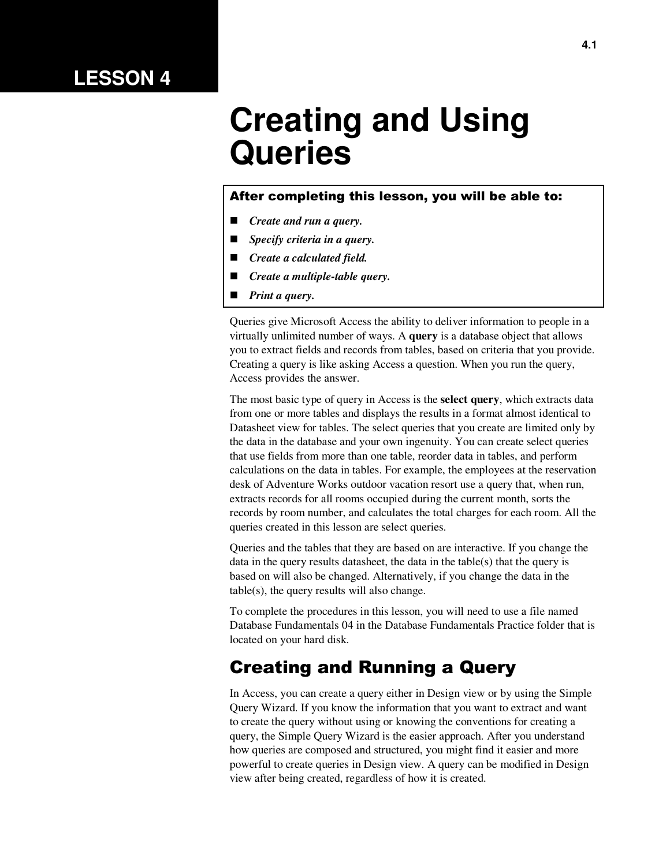# **LESSON 4**

# **Creating and Using Queries**

#### After completing this lesson, you will be able to:

- *Create and run a query.*
- *Specify criteria in a query.*
- *Create a calculated field.*
- *Create a multiple-table query.*
- *Print a query.*

Queries give Microsoft Access the ability to deliver information to people in a virtually unlimited number of ways. A **query** is a database object that allows you to extract fields and records from tables, based on criteria that you provide. Creating a query is like asking Access a question. When you run the query, Access provides the answer.

The most basic type of query in Access is the **select query**, which extracts data from one or more tables and displays the results in a format almost identical to Datasheet view for tables. The select queries that you create are limited only by the data in the database and your own ingenuity. You can create select queries that use fields from more than one table, reorder data in tables, and perform calculations on the data in tables. For example, the employees at the reservation desk of Adventure Works outdoor vacation resort use a query that, when run, extracts records for all rooms occupied during the current month, sorts the records by room number, and calculates the total charges for each room. All the queries created in this lesson are select queries.

Queries and the tables that they are based on are interactive. If you change the data in the query results datasheet, the data in the table(s) that the query is based on will also be changed. Alternatively, if you change the data in the table(s), the query results will also change.

To complete the procedures in this lesson, you will need to use a file named Database Fundamentals 04 in the Database Fundamentals Practice folder that is located on your hard disk.

### Creating and Running a Query

In Access, you can create a query either in Design view or by using the Simple Query Wizard. If you know the information that you want to extract and want to create the query without using or knowing the conventions for creating a query, the Simple Query Wizard is the easier approach. After you understand how queries are composed and structured, you might find it easier and more powerful to create queries in Design view. A query can be modified in Design view after being created, regardless of how it is created.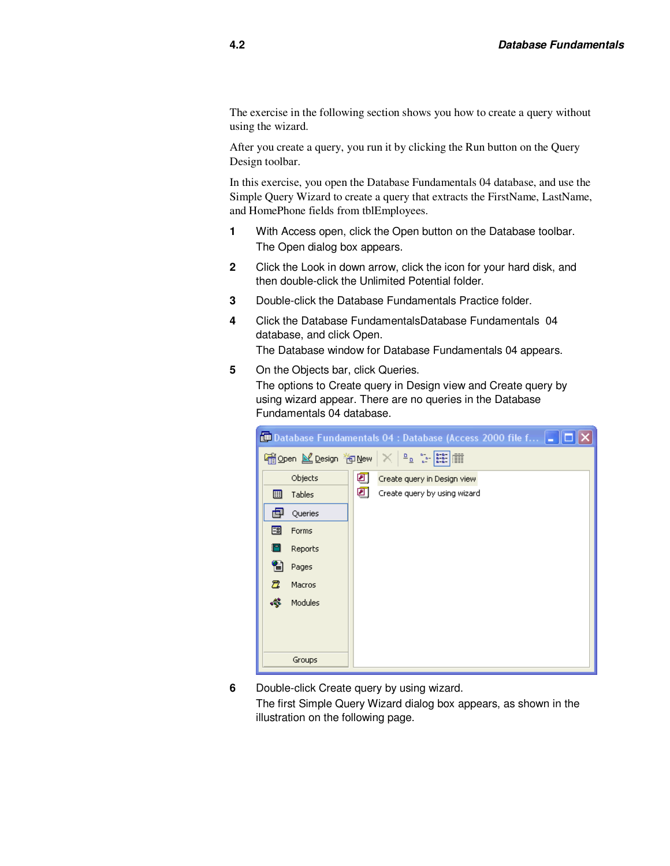The exercise in the following section shows you how to create a query without using the wizard.

After you create a query, you run it by clicking the Run button on the Query Design toolbar.

In this exercise, you open the Database Fundamentals 04 database, and use the Simple Query Wizard to create a query that extracts the FirstName, LastName, and HomePhone fields from tblEmployees.

- **1** With Access open, click the Open button on the Database toolbar. The Open dialog box appears.
- **2** Click the Look in down arrow, click the icon for your hard disk, and then double-click the Unlimited Potential folder.
- **3** Double-click the Database Fundamentals Practice folder.
- **4** Click the Database FundamentalsDatabase Fundamentals 04 database, and click Open. The Database window for Database Fundamentals 04 appears.
- **5** On the Objects bar, click Queries.

The options to Create query in Design view and Create query by using wizard appear. There are no queries in the Database Fundamentals 04 database.

|    | <b>ED</b> Database Fundamentals 04 : Database (Access 2000 file f $\ $ $\ $ |   |                                                                                                                                                                                                                                                                                                        |  |  |  |  |
|----|-----------------------------------------------------------------------------|---|--------------------------------------------------------------------------------------------------------------------------------------------------------------------------------------------------------------------------------------------------------------------------------------------------------|--|--|--|--|
|    | iopen M Design 御 New                                                        |   | $\begin{array}{c c c c c} \mathbf{D} & \mathbf{a}_{\mathbf{a},\mathbf{b}} & \mathbf{a}_{\mathbf{a},\mathbf{b}} \\ \hline \mathbf{D} & \mathbf{a}_{\mathbf{a},\mathbf{b}} & \mathbf{a}_{\mathbf{a},\mathbf{b}} \\ \hline \mathbf{A} & \mathbf{a}_{\mathbf{a},\mathbf{b}} & \mathbf{A} \end{array}$<br>▦ |  |  |  |  |
|    | Objects                                                                     | ॻ | Create query in Design view                                                                                                                                                                                                                                                                            |  |  |  |  |
| ▦  | Tables                                                                      | ॻ | Create query by using wizard                                                                                                                                                                                                                                                                           |  |  |  |  |
| 團  | Queries                                                                     |   |                                                                                                                                                                                                                                                                                                        |  |  |  |  |
| 翻  | Forms                                                                       |   |                                                                                                                                                                                                                                                                                                        |  |  |  |  |
|    | Reports                                                                     |   |                                                                                                                                                                                                                                                                                                        |  |  |  |  |
| 僃  | Pages                                                                       |   |                                                                                                                                                                                                                                                                                                        |  |  |  |  |
| Δ  | Macros                                                                      |   |                                                                                                                                                                                                                                                                                                        |  |  |  |  |
| 43 | Modules                                                                     |   |                                                                                                                                                                                                                                                                                                        |  |  |  |  |
|    |                                                                             |   |                                                                                                                                                                                                                                                                                                        |  |  |  |  |
|    |                                                                             |   |                                                                                                                                                                                                                                                                                                        |  |  |  |  |
|    | Groups                                                                      |   |                                                                                                                                                                                                                                                                                                        |  |  |  |  |

**6** Double-click Create query by using wizard. The first Simple Query Wizard dialog box appears, as shown in the illustration on the following page.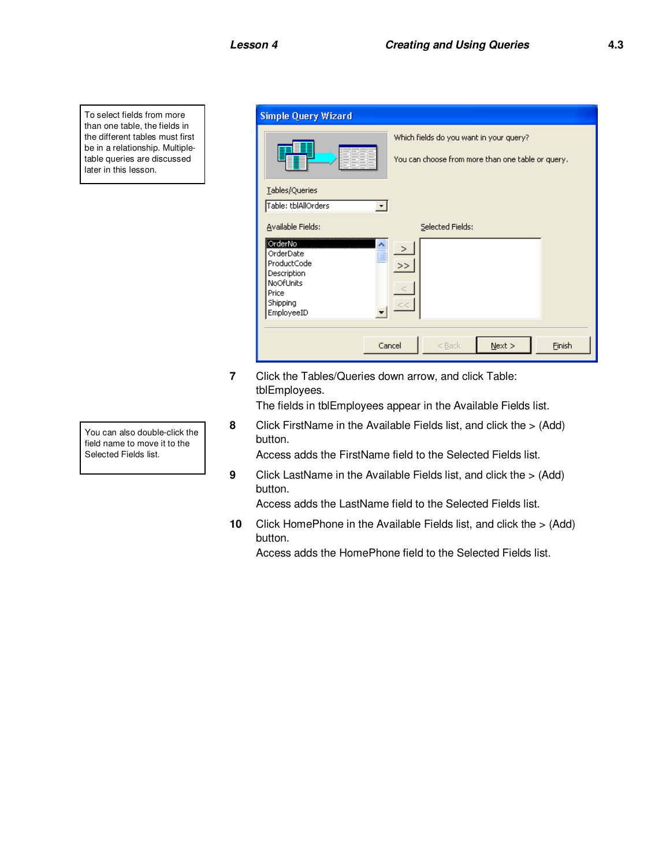To select fields from more than one table, the fields in the different tables must first be in a relationship. Multipletable queries are discussed later in this lesson.

| <b>Simple Query Wizard</b>                                                                                                   |                                                                                              |
|------------------------------------------------------------------------------------------------------------------------------|----------------------------------------------------------------------------------------------|
|                                                                                                                              | Which fields do you want in your query?<br>You can choose from more than one table or query. |
| Lables/Queries<br>Table: tblAllOrders                                                                                        |                                                                                              |
| Available Fields:<br>OrderNo<br>OrderDate<br>≣<br>ProductCode<br>Description<br>NoOfUnits<br>Price<br>Shipping<br>EmployeeID | Selected Fields:<br>$\mathbf{L}$<br>><br>c<                                                  |
|                                                                                                                              | Cancel<br>$N$ ext ><br>$<$ Back<br>Finish                                                    |

**7** Click the Tables/Queries down arrow, and click Table: tblEmployees.

The fields in tblEmployees appear in the Available Fields list.

**8** Click FirstName in the Available Fields list, and click the > (Add) button.

Access adds the FirstName field to the Selected Fields list.

**9** Click LastName in the Available Fields list, and click the > (Add) button.

Access adds the LastName field to the Selected Fields list.

**10** Click HomePhone in the Available Fields list, and click the > (Add) button.

Access adds the HomePhone field to the Selected Fields list.

You can also double-click the field name to move it to the Selected Fields list.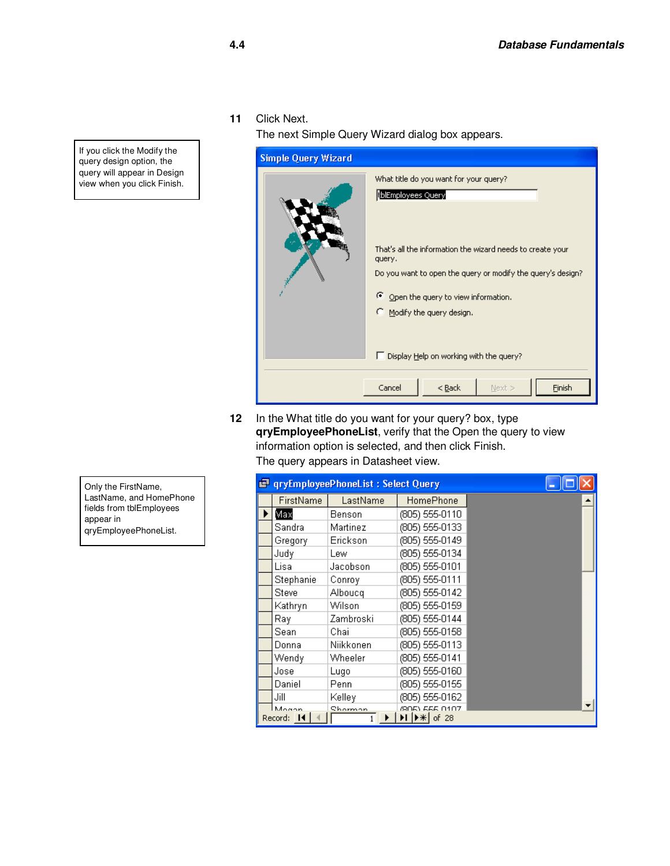**11** Click Next.

The next Simple Query Wizard dialog box appears.



**12** In the What title do you want for your query? box, type **qryEmployeePhoneList**, verify that the Open the query to view information option is selected, and then click Finish.

The query appears in Datasheet view.

|                     | <b>T</b> qryEmployeePhoneList: Select Query |                                 |  |
|---------------------|---------------------------------------------|---------------------------------|--|
| FirstName           | LastName                                    | HomePhone                       |  |
| Мах                 | Benson                                      | (805) 555-0110                  |  |
| Sandra              | Martinez                                    | (805) 555-0133                  |  |
| Gregory             | Erickson                                    | (805) 555-0149                  |  |
| Judy                | Lew.                                        | (805) 555-0134                  |  |
| Lisa                | Jacobson                                    | (805) 555-0101                  |  |
| Stephanie           | Conroy                                      | (805) 555-0111                  |  |
| <b>Steve</b>        | Alboucq                                     | (805) 555-0142                  |  |
| Kathryn             | Wilson                                      | (805) 555-0159                  |  |
| Raγ                 | Zambroski                                   | (805) 555-0144                  |  |
| Sean                | Chail                                       | (805) 555-0158                  |  |
| Donna               | Niikkonen                                   | (805) 555-0113                  |  |
| Wendy               | Wheeler                                     | (805) 555-0141                  |  |
| Jose                | Lugo                                        | (805) 555-0160                  |  |
| Daniel              | Penn                                        | (805) 555-0155                  |  |
| Jill                | Kelley                                      | (805) 555-0162                  |  |
| Mogan<br>Record: 14 | Shorman                                     | (805) 555 0107<br>DID * I of 28 |  |
|                     |                                             |                                 |  |

If you click the Modify the query design option, the query will appear in Design view when you click Finish.

Only the FirstName, LastName, and HomePhone fields from tblEmployees appear in qryEmployeePhoneList.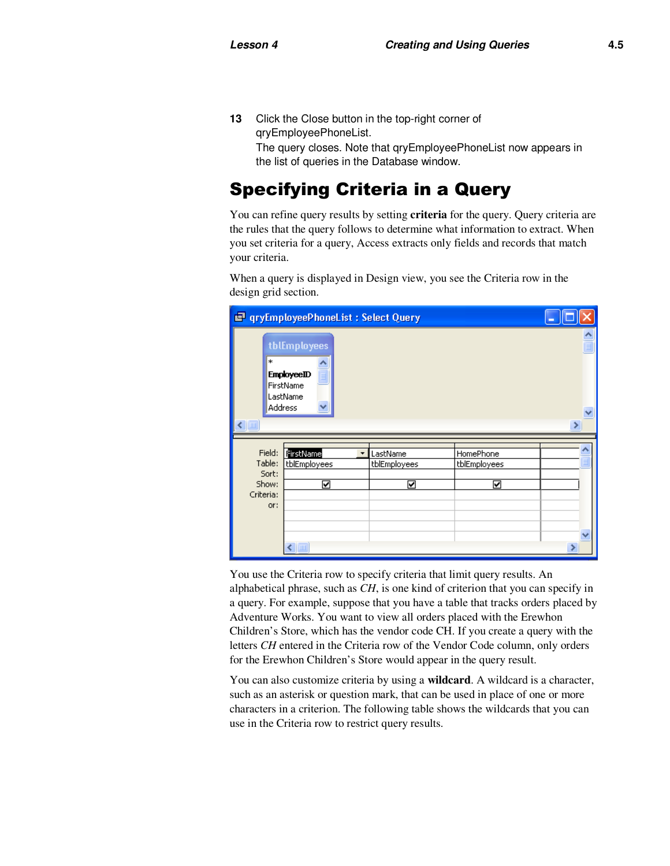**13** Click the Close button in the top-right corner of qryEmployeePhoneList. The query closes. Note that qryEmployeePhoneList now appears in the list of queries in the Database window.

# Specifying Criteria in a Query

You can refine query results by setting **criteria** for the query. Query criteria are the rules that the query follows to determine what information to extract. When you set criteria for a query, Access extracts only fields and records that match your criteria.

When a query is displayed in Design view, you see the Criteria row in the design grid section.

|                   | <b>F</b> qryEmployeePhoneList: Select Query                           |              |              |         |
|-------------------|-----------------------------------------------------------------------|--------------|--------------|---------|
| *<br>$\leftarrow$ | tblEmployees<br><b>EmployeeID</b><br>FirstName<br>LastName<br>Address |              |              | ٨<br>×. |
|                   |                                                                       |              |              |         |
|                   |                                                                       |              |              |         |
| Field:            | FirstName<br>٠                                                        | LastName     | HomePhone    |         |
| Table:            | tblEmployees                                                          | tblEmployees | tblEmployees |         |
| Sort:             |                                                                       |              |              |         |
| Show:             | ⊽                                                                     | ✓            | ☑            |         |
| Criteria:         |                                                                       |              |              |         |
| or:               |                                                                       |              |              |         |
|                   |                                                                       |              |              |         |
|                   |                                                                       |              |              |         |
|                   | $\leftarrow$   III                                                    |              |              | ×       |

You use the Criteria row to specify criteria that limit query results. An alphabetical phrase, such as *CH*, is one kind of criterion that you can specify in a query. For example, suppose that you have a table that tracks orders placed by Adventure Works. You want to view all orders placed with the Erewhon Children's Store, which has the vendor code CH. If you create a query with the letters *CH* entered in the Criteria row of the Vendor Code column, only orders for the Erewhon Children's Store would appear in the query result.

You can also customize criteria by using a **wildcard**. A wildcard is a character, such as an asterisk or question mark, that can be used in place of one or more characters in a criterion. The following table shows the wildcards that you can use in the Criteria row to restrict query results.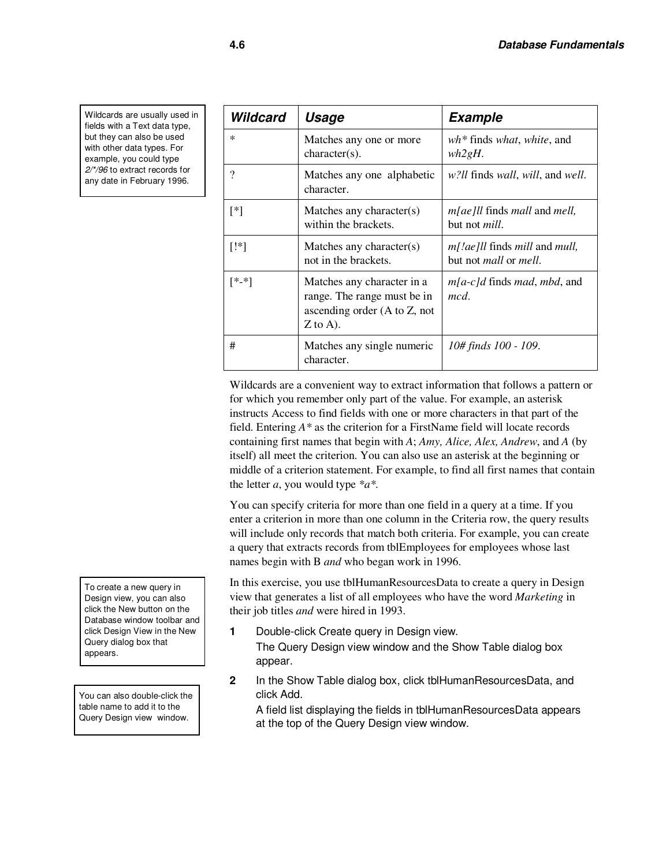Wildcards are usually used in fields with a Text data type, but they can also be used with other data types. For example, you could type 2/\*/96 to extract records for any date in February 1996.

| Wildcard | Usage                                                                                                                     | <b>Example</b>                                                                              |
|----------|---------------------------------------------------------------------------------------------------------------------------|---------------------------------------------------------------------------------------------|
| $\ast$   | Matches any one or more<br>$character(s)$ .                                                                               | $wh*$ finds what, white, and<br>wh2gH.                                                      |
| $\gamma$ | Matches any one alphabetic<br>character.                                                                                  | <i>w?ll</i> finds <i>wall</i> , <i>will</i> , and <i>well</i> .                             |
| [*]      | Matches any character $(s)$<br>within the brackets.                                                                       | $m[ae]$ ll finds mall and mell,<br>but not <i>mill</i> .                                    |
| $[!*]$   | Matches any character $(s)$<br>not in the brackets.                                                                       | <i>m[!ae]ll</i> finds <i>mill</i> and <i>mull</i> ,<br>but not <i>mall</i> or <i>mell</i> . |
| [*-*]    | Matches any character in a<br>range. The range must be in<br>ascending order $(A \text{ to } Z, \text{ not})$<br>Z to A). | $m[a-c]$ d finds <i>mad</i> , <i>mbd</i> , and<br>mcd.                                      |
| #        | Matches any single numeric<br>character.                                                                                  | 10# finds 100 - 109.                                                                        |

Wildcards are a convenient way to extract information that follows a pattern or for which you remember only part of the value. For example, an asterisk instructs Access to find fields with one or more characters in that part of the field. Entering *A\** as the criterion for a FirstName field will locate records containing first names that begin with *A*; *Amy, Alice, Alex, Andrew*, and *A* (by itself) all meet the criterion. You can also use an asterisk at the beginning or middle of a criterion statement. For example, to find all first names that contain the letter *a*, you would type *\*a\*.*

You can specify criteria for more than one field in a query at a time. If you enter a criterion in more than one column in the Criteria row, the query results will include only records that match both criteria. For example, you can create a query that extracts records from tblEmployees for employees whose last names begin with B *and* who began work in 1996.

In this exercise, you use tblHumanResourcesData to create a query in Design view that generates a list of all employees who have the word *Marketing* in their job titles *and* were hired in 1993.

- **1** Double-click Create query in Design view. The Query Design view window and the Show Table dialog box appear.
- **2** In the Show Table dialog box, click tblHumanResourcesData, and click Add.

A field list displaying the fields in tblHumanResourcesData appears at the top of the Query Design view window.

To create a new query in Design view, you can also click the New button on the Database window toolbar and click Design View in the New Query dialog box that appears.

You can also double-click the table name to add it to the Query Design view window.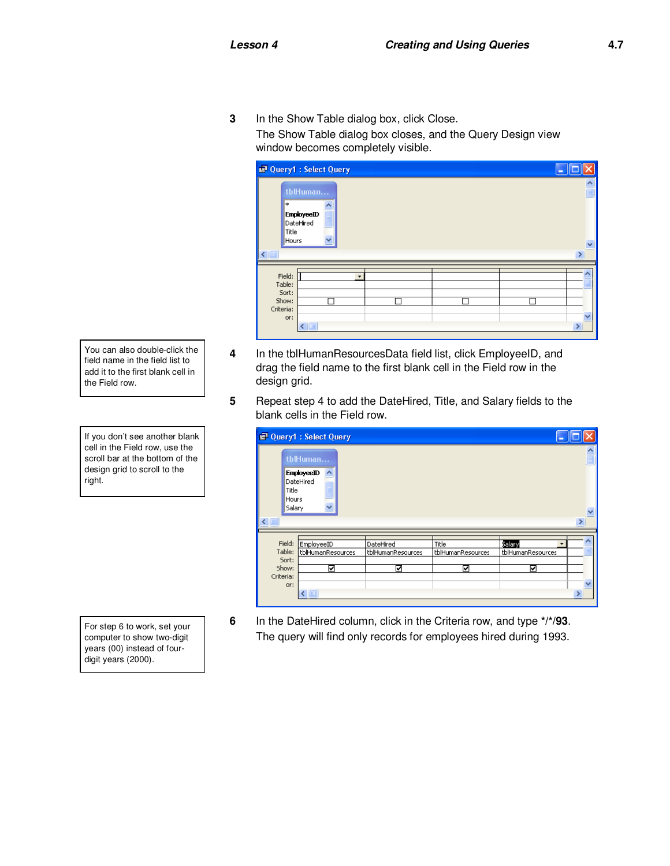**3** In the Show Table dialog box, click Close. The Show Table dialog box closes, and the Query Design view window becomes completely visible.

| Ouery1 : Select Query         |                                |                      |   |  | ×                       |
|-------------------------------|--------------------------------|----------------------|---|--|-------------------------|
| *                             | tblHuman                       |                      |   |  | $\frac{1}{\Box}$        |
| Title<br>Hours                | <b>EmployeeID</b><br>DateHired | $\ddot{\phantom{0}}$ |   |  | $\overline{\mathbf{v}}$ |
| $\left\  \mathbb{H} \right\ $ |                                |                      |   |  | $\rightarrow$           |
| Field:<br>Table:<br>Sort:     |                                |                      | ۰ |  |                         |
| Show:<br>Criteria:<br>or:     | $\blacksquare$                 |                      |   |  | $\rightarrow$           |

- **4** In the tblHumanResourcesData field list, click EmployeeID, and drag the field name to the first blank cell in the Field row in the design grid.
- **5** Repeat step 4 to add the DateHired, Title, and Salary fields to the blank cells in the Field row.

|                      | Query1 : Select Query                                  |                                |                            |                                  |               |
|----------------------|--------------------------------------------------------|--------------------------------|----------------------------|----------------------------------|---------------|
|                      | tblHuman                                               |                                |                            |                                  |               |
| Title<br><b>TILL</b> | <b>EmployeeID</b><br>DateHired<br>Hours<br>Salary<br>v |                                |                            |                                  | $\ddotmark$   |
|                      |                                                        |                                |                            |                                  |               |
| Field:<br>Table:     | EmployeeID<br>tblHumanResources                        | DateHired<br>tblHumanResources | Title<br>tblHumanResources | Salary<br>۰<br>tblHumanResources |               |
| Sort:                |                                                        |                                |                            |                                  |               |
| Show:                | ☑                                                      | ☑                              | ☑                          | ☑                                |               |
| Criteria:            |                                                        |                                |                            |                                  |               |
| or:                  |                                                        |                                |                            |                                  | $\rightarrow$ |
|                      | ≮ ∥ ⊞∣                                                 |                                |                            |                                  |               |

- - **6** In the DateHired column, click in the Criteria row, and type **\*/\*/93**. The query will find only records for employees hired during 1993.

You can also double-click the field name in the field list to add it to the first blank cell in the Field row.

If you don't see another blank cell in the Field row, use the scroll bar at the bottom of the design grid to scroll to the right.

For step 6 to work, set your computer to show two-digit years (00) instead of fourdigit years (2000).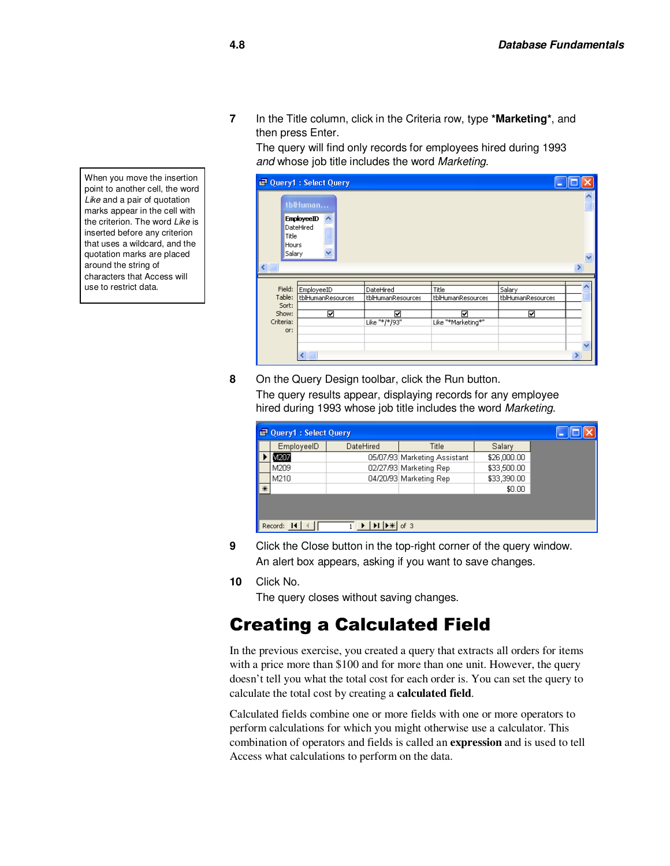**7** In the Title column, click in the Criteria row, type **\*Marketing\***, and then press Enter.

The query will find only records for employees hired during 1993 and whose job title includes the word Marketing.

|                    |                          | <b>D</b> Query1 : Select Query                            |                                |                            |                             |                  |
|--------------------|--------------------------|-----------------------------------------------------------|--------------------------------|----------------------------|-----------------------------|------------------|
|                    | Title<br>Hours<br>Salary | tblHuman<br><b>EmployeeID</b><br>DateHired<br>$\ddotmark$ |                                |                            |                             | ۸<br>$\ddotmark$ |
| $\leq$             |                          |                                                           |                                |                            |                             | $\rightarrow$    |
| Field:<br>Table:   | Sort:                    | EmployeeID<br>tblHumanResources                           | DateHired<br>tblHumanResources | Title<br>tblHumanResources | Salary<br>tblHumanResources |                  |
| Show:<br>Criteria: | or:                      | ☑                                                         | ⊽<br>Like "*/*/93"             | ☑<br>Like "*Marketing*"    | ☑                           |                  |
|                    |                          | $\leftarrow$                                              |                                |                            |                             | v<br>X           |

**8** On the Query Design toolbar, click the Run button.

The query results appear, displaying records for any employee hired during 1993 whose job title includes the word Marketing.

|        | Query1 : Select Query |           |                              |             |  |  |  |  |
|--------|-----------------------|-----------|------------------------------|-------------|--|--|--|--|
|        | EmployeeID            | DateHired | Title                        | Salary      |  |  |  |  |
|        | M207                  |           | 05/07/93 Marketing Assistant | \$26,000.00 |  |  |  |  |
|        | M209                  |           | 02/27/93 Marketing Rep       | \$33,500.00 |  |  |  |  |
|        | M210                  |           | 04/20/93 Marketing Rep       | \$33,390.00 |  |  |  |  |
| $\ast$ |                       |           |                              | \$0.00      |  |  |  |  |
|        | Record: 14<br>of 3    |           |                              |             |  |  |  |  |

- **9** Click the Close button in the top-right corner of the query window. An alert box appears, asking if you want to save changes.
- **10** Click No.

The query closes without saving changes.

#### Creating a Calculated Field

In the previous exercise, you created a query that extracts all orders for items with a price more than \$100 and for more than one unit. However, the query doesn't tell you what the total cost for each order is. You can set the query to calculate the total cost by creating a **calculated field**.

Calculated fields combine one or more fields with one or more operators to perform calculations for which you might otherwise use a calculator. This combination of operators and fields is called an **expression** and is used to tell Access what calculations to perform on the data.

When you move the insertion point to another cell, the word Like and a pair of quotation marks appear in the cell with the criterion. The word Like is inserted before any criterion that uses a wildcard, and the quotation marks are placed around the string of characters that Access will use to restrict data.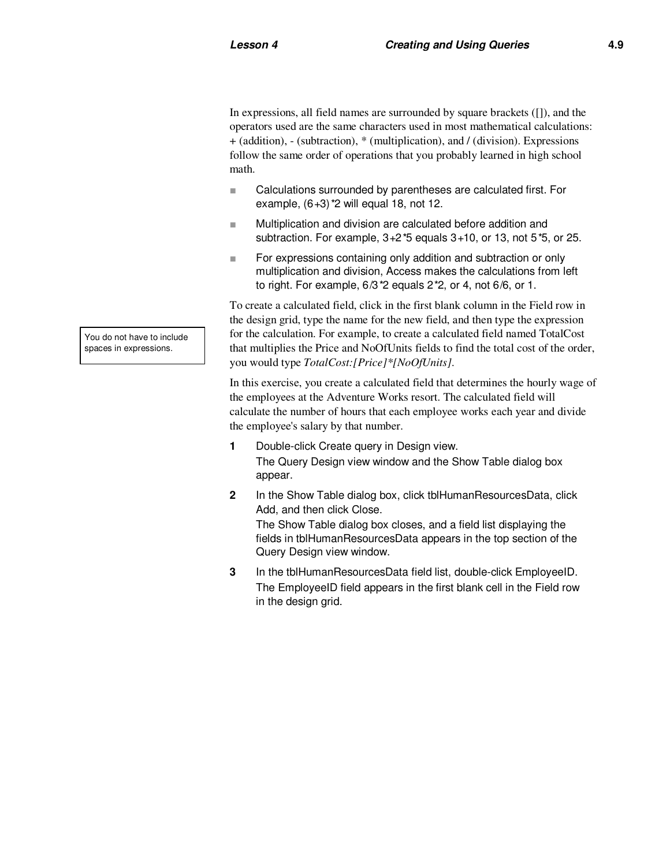In expressions, all field names are surrounded by square brackets ([]), and the operators used are the same characters used in most mathematical calculations: + (addition), - (subtraction), \* (multiplication), and / (division). Expressions follow the same order of operations that you probably learned in high school math.

- Calculations surrounded by parentheses are calculated first. For example,  $(6+3)$  \*2 will equal 18, not 12.
- Multiplication and division are calculated before addition and subtraction. For example,  $3+2*5$  equals  $3+10$ , or  $13$ , not  $5*5$ , or  $25$ .
- For expressions containing only addition and subtraction or only multiplication and division, Access makes the calculations from left to right. For example,  $6/3$   $2$  equals  $2$   $2$ , or 4, not  $6/6$ , or 1.

To create a calculated field, click in the first blank column in the Field row in the design grid, type the name for the new field, and then type the expression for the calculation. For example, to create a calculated field named TotalCost that multiplies the Price and NoOfUnits fields to find the total cost of the order, you would type *TotalCost:[Price]\*[NoOfUnits]*.

In this exercise, you create a calculated field that determines the hourly wage of the employees at the Adventure Works resort. The calculated field will calculate the number of hours that each employee works each year and divide the employee's salary by that number.

- **1** Double-click Create query in Design view. The Query Design view window and the Show Table dialog box appear.
- **2** In the Show Table dialog box, click tblHumanResourcesData, click Add, and then click Close. The Show Table dialog box closes, and a field list displaying the fields in tblHumanResourcesData appears in the top section of the Query Design view window.
- **3** In the tblHumanResourcesData field list, double-click EmployeeID. The EmployeeID field appears in the first blank cell in the Field row in the design grid.

You do not have to include spaces in expressions.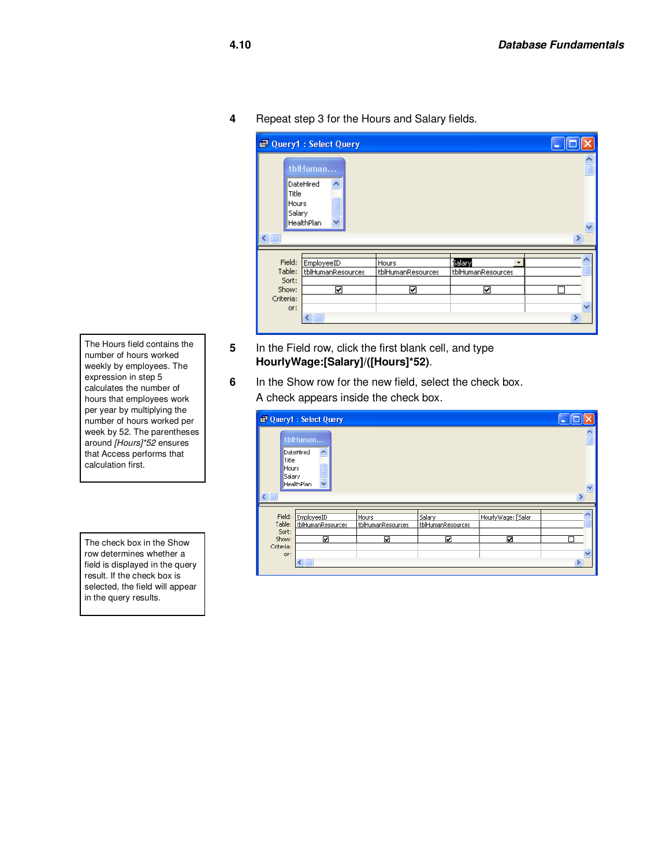**4** Repeat step 3 for the Hours and Salary fields.

|                                                        | <b>Cuery1: Select Query</b>                          |                                 |                                       |                                              |
|--------------------------------------------------------|------------------------------------------------------|---------------------------------|---------------------------------------|----------------------------------------------|
| Title<br>Hours<br>Salary<br>$\leq$                     | tblHuman<br>DateHired<br>HealthPlan                  |                                 |                                       | $\frac{\lambda}{\equiv}$<br>$\ddotmark$<br>⋟ |
| Field:<br>Table:<br>Sort:<br>Show:<br>Criteria:<br>or: | EmployeeID<br>tblHumanResources<br>⊽<br><b>TITLE</b> | Hours<br>tblHumanResources<br>☑ | Salary<br>۰<br>tblHumanResources<br>⊽ | ×                                            |

- **5** In the Field row, click the first blank cell, and type **HourlyWage:[Salary]/([Hours]\*52)**.
- **6** In the Show row for the new field, select the check box. A check appears inside the check box.

|                          | Query1 : Select Query           |                            |                             |                    |               |
|--------------------------|---------------------------------|----------------------------|-----------------------------|--------------------|---------------|
| Title<br>Hours<br>Salary | tblHuman<br>DateHired           |                            |                             |                    |               |
| $\left  \cdot \right $   | HealthPlan<br>v                 |                            |                             |                    | $\ddotmark$   |
|                          |                                 |                            |                             |                    |               |
| Field:<br>Table:         | EmployeeID<br>tblHumanResources | Hours<br>tblHumanResources | Salary<br>tblHumanResources | HourlyWage: [Salar |               |
| Sort:                    |                                 |                            |                             |                    |               |
| Show:                    | ☑                               | ☑                          | ☑                           | ⊠                  |               |
| Criteria:                |                                 |                            |                             |                    |               |
| or:                      |                                 |                            |                             |                    |               |
|                          | кш                              |                            |                             |                    | $\rightarrow$ |

The Hours field contains the number of hours worked weekly by employees. The expression in step 5 calculates the number of hours that employees work per year by multiplying the number of hours worked per week by 52. The parentheses around [Hours]\*52 ensures that Access performs that calculation first.

The check box in the Show row determines whether a field is displayed in the query result. If the check box is selected, the field will appear in the query results.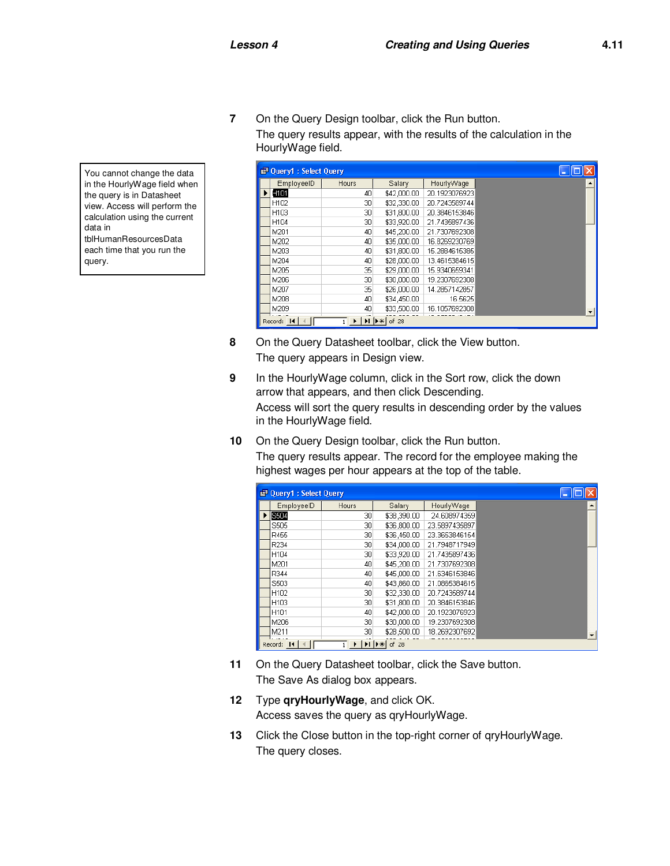**7** On the Query Design toolbar, click the Run button. The query results appear, with the results of the calculation in the HourlyWage field.

| ■ Query1: Select Query |                                                                                                                                             |             |               |  |
|------------------------|---------------------------------------------------------------------------------------------------------------------------------------------|-------------|---------------|--|
| EmployeeID             | Hours                                                                                                                                       | Salary      | HourlyWage    |  |
| H101                   | 40                                                                                                                                          | \$42,000.00 | 20.1923076923 |  |
| H102                   | 30                                                                                                                                          | \$32,330.00 | 20.7243589744 |  |
| H103                   | 30                                                                                                                                          | \$31,800.00 | 20.3846153846 |  |
| H104                   | 30                                                                                                                                          | \$33,920.00 | 21.7435897436 |  |
| M201                   | 40                                                                                                                                          | \$45,200.00 | 21.7307692308 |  |
| M202                   | 40                                                                                                                                          | \$35,000.00 | 16.8269230769 |  |
| M203                   | 40                                                                                                                                          | \$31,800.00 | 15.2884615385 |  |
| M204                   | 40                                                                                                                                          | \$28,000.00 | 13.4615384615 |  |
| M205                   | 35                                                                                                                                          | \$29,000.00 | 15.9340659341 |  |
| M206                   | 30                                                                                                                                          | \$30,000.00 | 19.2307692308 |  |
| M207                   | 35                                                                                                                                          | \$26,000.00 | 14.2857142857 |  |
| M208                   | 40                                                                                                                                          | \$34,450.00 | 16.5625       |  |
| M209                   | 40                                                                                                                                          | \$33,500.00 | 16.1057692308 |  |
| Record: 14             | $\overline{1}$ $\blacktriangleright$ $\vert \blacktriangleright \vert \vert \blacktriangleright \vert \vert \blacktriangleright \ast \vert$ | of 28       |               |  |

- **8** On the Query Datasheet toolbar, click the View button. The query appears in Design view.
- **9** In the HourlyWage column, click in the Sort row, click the down arrow that appears, and then click Descending. Access will sort the query results in descending order by the values in the HourlyWage field.
- **10** On the Query Design toolbar, click the Run button.

The query results appear. The record for the employee making the highest wages per hour appears at the top of the table.

|                                          | <b>P</b> Query1 : Select Query |       |             |               |  |  |  |
|------------------------------------------|--------------------------------|-------|-------------|---------------|--|--|--|
|                                          | EmployeeID                     | Hours | Salary      | HourlyWage    |  |  |  |
|                                          | S504                           | 30    | \$38,390.00 | 24.608974359  |  |  |  |
|                                          | S505                           | 30    | \$36,800.00 | 23.5897435897 |  |  |  |
|                                          | R455                           | 30    | \$36,450.00 | 23.3653846154 |  |  |  |
|                                          | R234                           | 30    | \$34,000.00 | 21.7948717949 |  |  |  |
|                                          | H104                           | 30    | \$33,920.00 | 21.7435897436 |  |  |  |
|                                          | M201                           | 40    | \$45,200.00 | 21.7307692308 |  |  |  |
|                                          | R344                           | 40    | \$45,000.00 | 21.6346153846 |  |  |  |
|                                          | S503                           | 40    | \$43,860.00 | 21.0865384615 |  |  |  |
|                                          | H102                           | 30    | \$32,330.00 | 20.7243589744 |  |  |  |
|                                          | H103                           | 30    | \$31,800.00 | 20.3846153846 |  |  |  |
|                                          | H <sub>101</sub>               | 40    | \$42,000.00 | 20.1923076923 |  |  |  |
|                                          | M206                           | 30    | \$30,000.00 | 19.2307692308 |  |  |  |
|                                          | M211                           | 30    | \$28,500.00 | 18.2692307692 |  |  |  |
| of 28<br>Record: 14<br>$H$ $\rightarrow$ |                                |       |             |               |  |  |  |

- **11** On the Query Datasheet toolbar, click the Save button. The Save As dialog box appears.
- **12** Type **qryHourlyWage**, and click OK. Access saves the query as qryHourlyWage.
- **13** Click the Close button in the top-right corner of qryHourlyWage. The query closes.

You cannot change the data in the HourlyWage field when the query is in Datasheet view. Access will perform the calculation using the current data in tblHumanResourcesData each time that you run the query.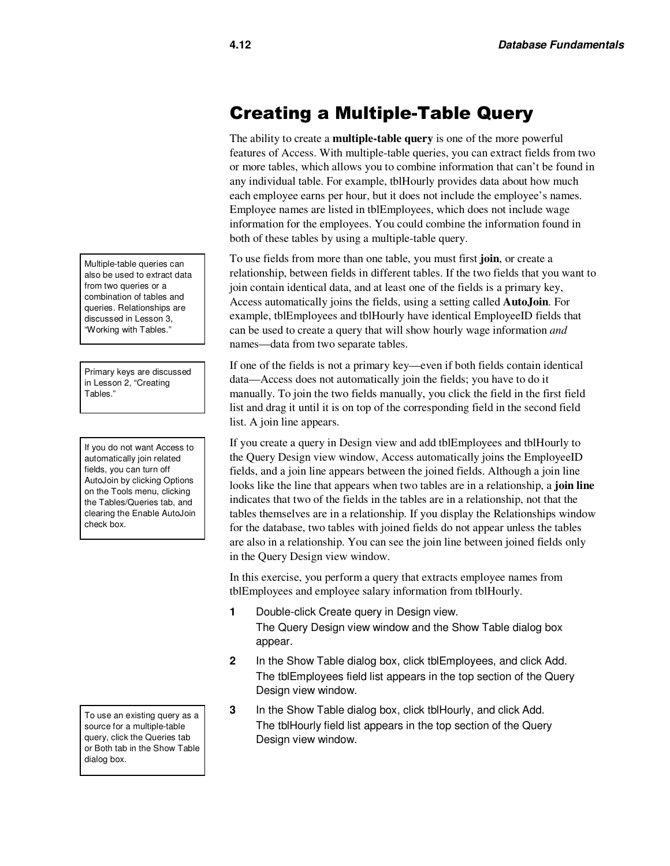### Creating a Multiple-Table Query

The ability to create a **multiple-table query** is one of the more powerful features of Access. With multiple-table queries, you can extract fields from two or more tables, which allows you to combine information that can't be found in any individual table. For example, tblHourly provides data about how much each employee earns per hour, but it does not include the employee's names. Employee names are listed in tblEmployees, which does not include wage information for the employees. You could combine the information found in both of these tables by using a multiple-table query.

To use fields from more than one table, you must first **join**, or create a relationship, between fields in different tables. If the two fields that you want to join contain identical data, and at least one of the fields is a primary key, Access automatically joins the fields, using a setting called **AutoJoin**. For example, tblEmployees and tblHourly have identical EmployeeID fields that can be used to create a query that will show hourly wage information *and* names—data from two separate tables.

If one of the fields is not a primary key—even if both fields contain identical data—Access does not automatically join the fields; you have to do it manually. To join the two fields manually, you click the field in the first field list and drag it until it is on top of the corresponding field in the second field list. A join line appears.

If you create a query in Design view and add tblEmployees and tblHourly to the Query Design view window, Access automatically joins the EmployeeID fields, and a join line appears between the joined fields. Although a join line looks like the line that appears when two tables are in a relationship, a **join line** indicates that two of the fields in the tables are in a relationship, not that the tables themselves are in a relationship. If you display the Relationships window for the database, two tables with joined fields do not appear unless the tables are also in a relationship. You can see the join line between joined fields only in the Query Design view window.

In this exercise, you perform a query that extracts employee names from tblEmployees and employee salary information from tblHourly.

- **1** Double-click Create query in Design view. The Query Design view window and the Show Table dialog box appear.
- **2** In the Show Table dialog box, click tblEmployees, and click Add. The tblEmployees field list appears in the top section of the Query Design view window.
- **3** In the Show Table dialog box, click tblHourly, and click Add. The tblHourly field list appears in the top section of the Query Design view window.

Multiple-table queries can also be used to extract data from two queries or a combination of tables and queries. Relationships are discussed in Lesson 3, "Working with Tables."

Primary keys are discussed in Lesson 2, "Creating Tables."

If you do not want Access to automatically join related fields, you can turn off AutoJoin by clicking Options on the Tools menu, clicking the Tables/Queries tab, and clearing the Enable AutoJoin check box.

To use an existing query as a source for a multiple-table query, click the Queries tab or Both tab in the Show Table dialog box.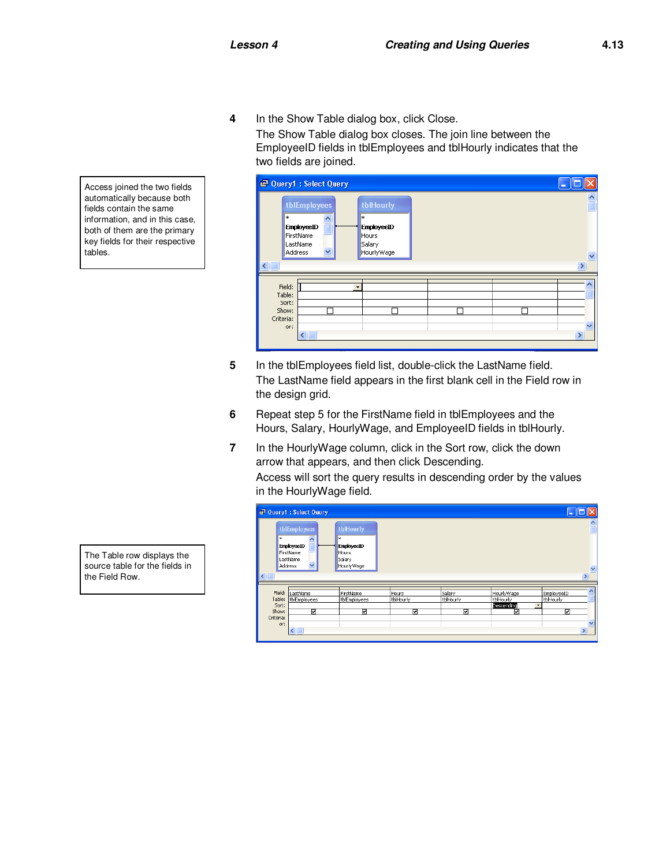**4** In the Show Table dialog box, click Close.

The Show Table dialog box closes. The join line between the EmployeeID fields in tblEmployees and tblHourly indicates that the two fields are joined.



- **5** In the tblEmployees field list, double-click the LastName field. The LastName field appears in the first blank cell in the Field row in the design grid.
- **6** Repeat step 5 for the FirstName field in tblEmployees and the Hours, Salary, HourlyWage, and EmployeeID fields in tblHourly.
- **7** In the HourlyWage column, click in the Sort row, click the down arrow that appears, and then click Descending.

Access will sort the query results in descending order by the values in the HourlyWage field.

|                                                        | <b>C</b> Query1 : Select Query                                                |                                                                             |                         |                          |                                            | ш                                                                    |
|--------------------------------------------------------|-------------------------------------------------------------------------------|-----------------------------------------------------------------------------|-------------------------|--------------------------|--------------------------------------------|----------------------------------------------------------------------|
| l∗⊧<br>$\leftarrow$                                    | tblEmployees<br>EmployeeID<br>FirstName<br>LastName<br>$\ddotmark$<br>Address | <b>tblHourly</b><br>*<br>EmployeeID<br><b>Hours</b><br>Salary<br>HourlyWage |                         |                          |                                            | $\frac{1}{\Box}$<br>$\overline{\mathbf{v}}$<br>×                     |
| Field:<br>Table:<br>Sort:<br>Show:<br>Criteria:<br>or: | LastName<br>tblEmployees<br>⊡<br>$\leq$                                       | FirstName<br>tblEmployees<br>⊽                                              | Hours<br>tblHourly<br>☑ | Salary<br>tblHourly<br>⊽ | HourlyWage<br>tblHourly<br>Descending<br>☑ | EmployeeID<br>tblHourly<br>٠<br>☑<br>$\overline{\mathbf{v}}$<br>$\,$ |

Access joined the two fields automatically because both fields contain the same information, and in this case, both of them are the primary key fields for their respective tables.

The Table row displays the source table for the fields in the Field Row.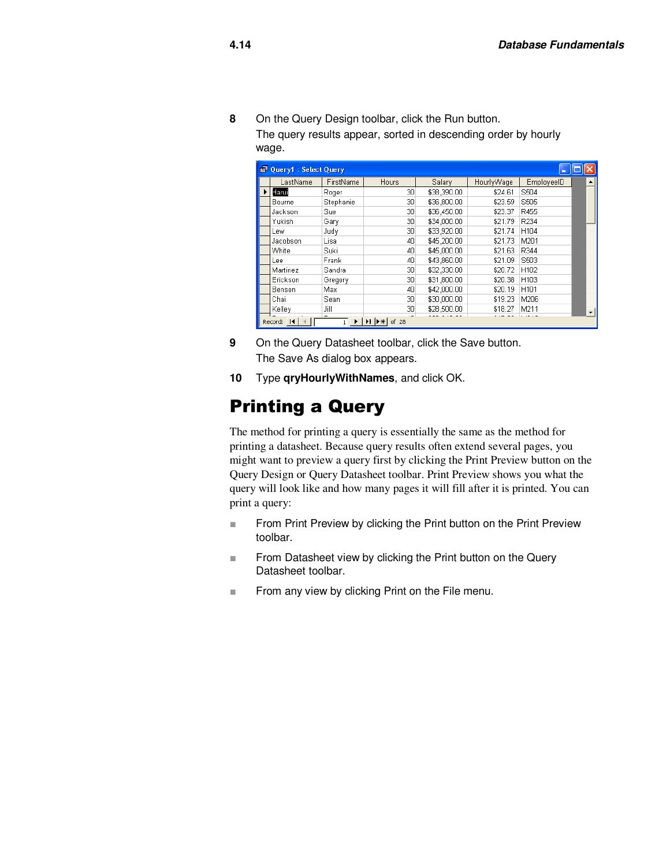**8** On the Query Design toolbar, click the Run button. The query results appear, sorted in descending order by hourly wage.

| ■ Query1: Select Query |                                                    |           |              |             |            |                  |  |  |  |  |
|------------------------|----------------------------------------------------|-----------|--------------|-------------|------------|------------------|--|--|--|--|
|                        | LastName                                           | FirstName | <b>Hours</b> | Salary      | HourlyWage | EmployeeID       |  |  |  |  |
|                        | Harui                                              | Roger     | 30           | \$38,390.00 | \$24.61    | S504             |  |  |  |  |
|                        | Bourne                                             | Stephanie | 30           | \$36,800.00 | \$23.59    | S505             |  |  |  |  |
|                        | Jackson                                            | Sue       | 30           | \$36,450.00 | \$23.37    | R455             |  |  |  |  |
|                        | Yukish                                             | Gary      | 30           | \$34,000.00 | \$21.79    | R234             |  |  |  |  |
|                        | Lew                                                | Judy      | 30           | \$33,920.00 | \$21.74    | H104             |  |  |  |  |
|                        | Jacobson                                           | Lisa      | 40           | \$45,200.00 | \$21.73    | M201             |  |  |  |  |
|                        | White                                              | Suki      | 40           | \$45,000.00 | \$21.63    | R344             |  |  |  |  |
|                        | Lee                                                | Frank     | 40           | \$43,860.00 | \$21.09    | S503             |  |  |  |  |
|                        | Martinez                                           | Sandra    | 30           | \$32,330.00 | \$20.72    | H <sub>102</sub> |  |  |  |  |
|                        | Erickson                                           | Gregory   | 30           | \$31,800.00 | \$20.38    | H <sub>103</sub> |  |  |  |  |
|                        | Benson                                             | Max       | 40           | \$42,000.00 | \$20.19    | H101             |  |  |  |  |
|                        | Chai                                               | Sean      | 30           | \$30,000.00 | \$19.23    | M206             |  |  |  |  |
|                        | Kelley                                             | Jill      | 30           | \$28,500.00 | \$18.27    | M211             |  |  |  |  |
|                        | $\mathbf{H}$ $\mathbf{F}$<br>Record: 14<br>of $28$ |           |              |             |            |                  |  |  |  |  |

- **9** On the Query Datasheet toolbar, click the Save button. The Save As dialog box appears.
- **10** Type **qryHourlyWithNames**, and click OK.

# Printing a Query

The method for printing a query is essentially the same as the method for printing a datasheet. Because query results often extend several pages, you might want to preview a query first by clicking the Print Preview button on the Query Design or Query Datasheet toolbar. Print Preview shows you what the query will look like and how many pages it will fill after it is printed. You can print a query:

- From Print Preview by clicking the Print button on the Print Preview toolbar.
- From Datasheet view by clicking the Print button on the Query Datasheet toolbar.
- From any view by clicking Print on the File menu.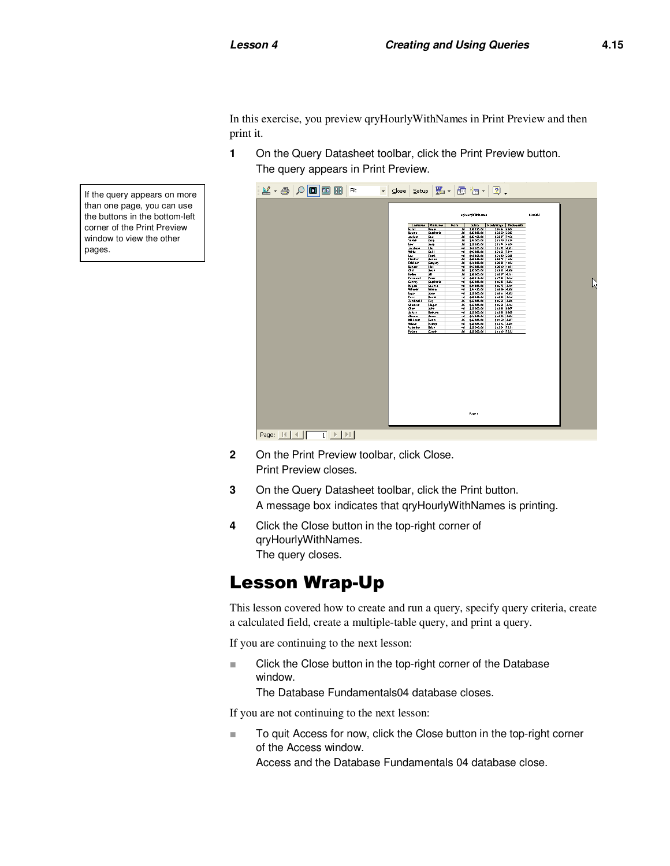In this exercise, you preview qryHourlyWithNames in Print Preview and then print it.

**1** On the Query Datasheet toolbar, click the Print Preview button. The query appears in Print Preview.



- **2** On the Print Preview toolbar, click Close. Print Preview closes.
- **3** On the Query Datasheet toolbar, click the Print button. A message box indicates that qryHourlyWithNames is printing.
- **4** Click the Close button in the top-right corner of qryHourlyWithNames. The query closes.

## Lesson Wrap-Up

This lesson covered how to create and run a query, specify query criteria, create a calculated field, create a multiple-table query, and print a query.

If you are continuing to the next lesson:

■ Click the Close button in the top-right corner of the Database window.

The Database Fundamentals04 database closes.

If you are not continuing to the next lesson:

■ To quit Access for now, click the Close button in the top-right corner of the Access window.

Access and the Database Fundamentals 04 database close.

If the query appears on more than one page, you can use the buttons in the bottom-left corner of the Print Preview window to view the other pages.